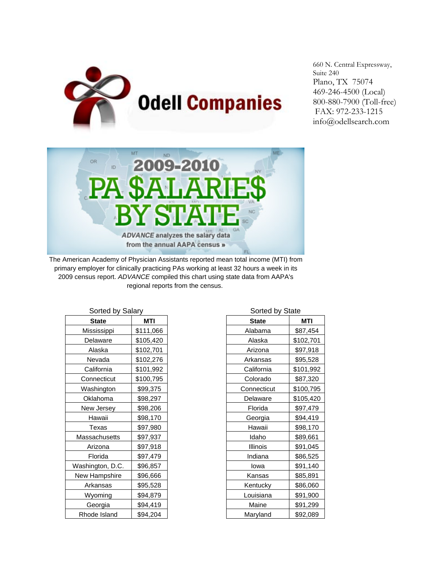

660 N. Central Expressway, Suite 240 Plano, TX 75074 469-246-4500 (Local) 800-880-7900 (Toll-free) FAX: 972-233-1215 info@odellsearch.com



The American Academy of Physician Assistants reported mean total income (MTI) from primary employer for clinically practicing PAs working at least 32 hours a week in its 2009 census report. *ADVANCE* compiled this chart using state data from AAPA's regional reports from the census.

| Sorted by Salary |            | Sorted by State |            |
|------------------|------------|-----------------|------------|
| <b>State</b>     | <b>MTI</b> | <b>State</b>    | <b>MTI</b> |
| Mississippi      | \$111,066  | Alabama         | \$87,454   |
| Delaware         | \$105,420  | Alaska          | \$102,701  |
| Alaska           | \$102,701  | Arizona         | \$97,918   |
| Nevada           | \$102,276  | Arkansas        | \$95,528   |
| California       | \$101,992  | California      | \$101,992  |
| Connecticut      | \$100,795  | Colorado        | \$87,320   |
| Washington       | \$99,375   | Connecticut     | \$100,795  |
| Oklahoma         | \$98,297   | Delaware        | \$105,420  |
| New Jersey       | \$98,206   | Florida         | \$97,479   |
| Hawaii           | \$98,170   | Georgia         | \$94,419   |
| Texas            | \$97,980   | Hawaii          | \$98,170   |
| Massachusetts    | \$97,937   | Idaho           | \$89,661   |
| Arizona          | \$97,918   | Illinois        | \$91,045   |
| Florida          | \$97,479   | Indiana         | \$86,525   |
| Washington, D.C. | \$96,857   | lowa            | \$91,140   |
| New Hampshire    | \$96,666   | Kansas          | \$85,891   |
| Arkansas         | \$95,528   | Kentucky        | \$86,060   |
| Wyoming          | \$94,879   | Louisiana       | \$91,900   |
| Georgia          | \$94,419   | Maine           | \$91,299   |
| Rhode Island     | \$94,204   | Maryland        | \$92,089   |

| Sorted by Salary |            | Sorted by State |            |
|------------------|------------|-----------------|------------|
| <b>State</b>     | <b>MTI</b> | <b>State</b>    | <b>MTI</b> |
| Mississippi      | \$111,066  | Alabama         | \$87,454   |
| Delaware         | \$105,420  | Alaska          | \$102,701  |
| Alaska           | \$102,701  | Arizona         | \$97,918   |
| Nevada           | \$102,276  | Arkansas        | \$95,528   |
| California       | \$101,992  | California      | \$101,992  |
| Connecticut      | \$100,795  | Colorado        | \$87,320   |
| Washington       | \$99,375   | Connecticut     | \$100,795  |
| Oklahoma         | \$98,297   | Delaware        | \$105,420  |
| New Jersey       | \$98,206   | Florida         | \$97,479   |
| Hawaii           | \$98,170   | Georgia         | \$94,419   |
| Texas            | \$97,980   | Hawaii          | \$98,170   |
| Massachusetts    | \$97,937   | Idaho           | \$89,661   |
| Arizona          | \$97,918   | Illinois        | \$91,045   |
| Florida          | \$97,479   | Indiana         | \$86,525   |
| Vashington, D.C. | \$96,857   | lowa            | \$91,140   |
| New Hampshire    | \$96,666   | Kansas          | \$85,891   |
| Arkansas         | \$95,528   | Kentucky        | \$86,060   |
| Wyoming          | \$94,879   | Louisiana       | \$91,900   |
| Georgia          | \$94,419   | Maine           | \$91,299   |
| Rhode Island     | \$94,204   | Maryland        | \$92,089   |